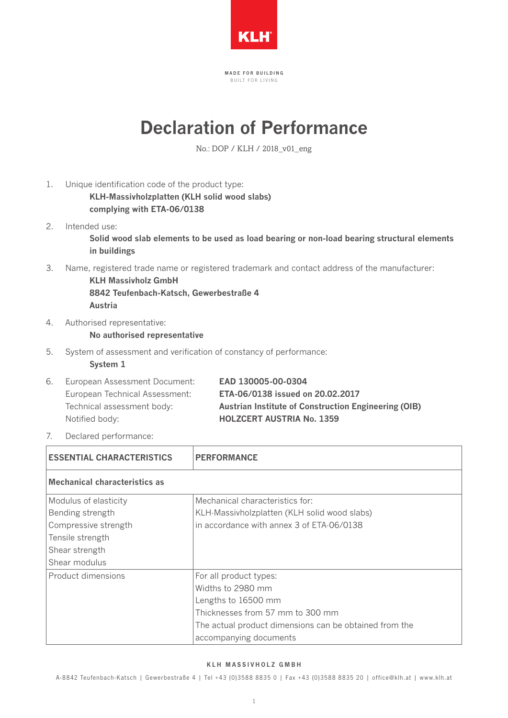

MADE FOR BUILDING BUILT FOR LIVING

## **Declaration of Performance**

No.: DOP / KLH / 2018\_v01\_eng

- 1. Unique identification code of the product type:  **KLH-Massivholzplatten (KLH solid wood slabs) complying with ETA-06/0138**
- 2. Intended use:  **Solid wood slab elements to be used as load bearing or non-load bearing structural elements in buildings**

3. Name, registered trade name or registered trademark and contact address of the manufacturer:

 **KLH Massivholz GmbH 8842 Teufenbach-Katsch, Gewerbestraße 4 Austria**

4. Authorised representative:

## **No authorised representative**

5. System of assessment and verification of constancy of performance:

 **System 1**

|  | 6. European Assessment Document: | EAD 130005-00-0304                                          |
|--|----------------------------------|-------------------------------------------------------------|
|  | European Technical Assessment:   | ETA-06/0138 issued on 20.02.2017                            |
|  | Technical assessment body:       | <b>Austrian Institute of Construction Engineering (OIB)</b> |
|  | Notified body:                   | <b>HOLZCERT AUSTRIA No. 1359</b>                            |
|  |                                  |                                                             |

7. Declared performance:

| <b>ESSENTIAL CHARACTERISTICS</b>                                                                                         | <b>PERFORMANCE</b>                                                                                                                                                                         |  |
|--------------------------------------------------------------------------------------------------------------------------|--------------------------------------------------------------------------------------------------------------------------------------------------------------------------------------------|--|
| <b>Mechanical characteristics as</b>                                                                                     |                                                                                                                                                                                            |  |
| Modulus of elasticity<br>Bending strength<br>Compressive strength<br>Tensile strength<br>Shear strength<br>Shear modulus | Mechanical characteristics for:<br>KLH-Massivholzplatten (KLH solid wood slabs)<br>in accordance with annex 3 of ETA-06/0138                                                               |  |
| Product dimensions                                                                                                       | For all product types:<br>Widths to 2980 mm<br>Lengths to 16500 mm<br>Thicknesses from 57 mm to 300 mm<br>The actual product dimensions can be obtained from the<br>accompanying documents |  |

## KLH MASSIVHOLZ GMBH

A-8842 Teufenbach-Katsch | Gewerbestraße 4 | Tel +43 (0)3588 8835 0 | Fax +43 (0)3588 8835 20 | of fice@klh.at | www.klh.at